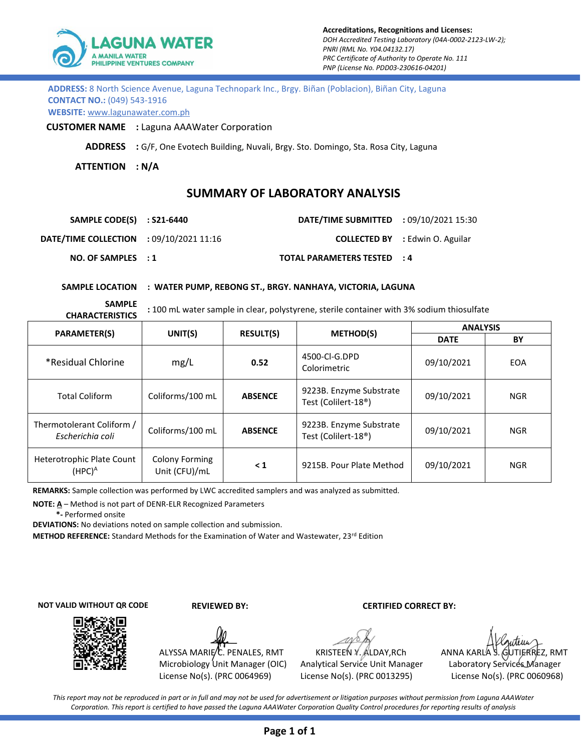

| <b>ADDRESS:</b> 8 North Science Avenue, Laguna Technopark Inc., Brgy. Biñan (Poblacion), Biñan City, Laguna |
|-------------------------------------------------------------------------------------------------------------|
| <b>CONTACT NO.: (049) 543-1916</b>                                                                          |
| WEBSITE: www.lagunawater.com.ph                                                                             |

**CUSTOMER NAME :** Laguna AAAWater Corporation

**ADDRESS :** G/F, One Evotech Building, Nuvali, Brgy. Sto. Domingo, Sta. Rosa City, Laguna

**ATTENTION : N/A**

## **SUMMARY OF LABORATORY ANALYSIS**

| SAMPLE CODE(S) : S21-6440                      | <b>DATE/TIME SUBMITTED : 09/10/2021 15:30</b> |                                        |
|------------------------------------------------|-----------------------------------------------|----------------------------------------|
| <b>DATE/TIME COLLECTION : 09/10/2021 11:16</b> |                                               | <b>COLLECTED BY</b> : Edwin O. Aguilar |
| NO. OF SAMPLEX : 1                             | TOTAL PARAMETERS TESTED : 4                   |                                        |

**SAMPLE LOCATION : WATER PUMP, REBONG ST., BRGY. NANHAYA, VICTORIA, LAGUNA**

**SAMPLE** 

**CHARACTERISTICS :** 100 mL water sample in clear, polystyrene, sterile container with 3% sodium thiosulfate

| <b>PARAMETER(S)</b><br>UNIT(S)                  |                                 |                  | <b>METHOD(S)</b>                                            | <b>ANALYSIS</b> |            |
|-------------------------------------------------|---------------------------------|------------------|-------------------------------------------------------------|-----------------|------------|
|                                                 |                                 | <b>RESULT(S)</b> |                                                             | <b>DATE</b>     | BY         |
| *Residual Chlorine                              | mg/L                            | 0.52             | 4500-CI-G.DPD<br>Colorimetric                               | 09/10/2021      | <b>EOA</b> |
| <b>Total Coliform</b>                           | Coliforms/100 mL                | <b>ABSENCE</b>   | 9223B. Enzyme Substrate<br>Test (Colilert-18 <sup>®</sup> ) | 09/10/2021      | <b>NGR</b> |
| Thermotolerant Coliform /<br>Escherichia coli   | Coliforms/100 mL                | <b>ABSENCE</b>   | 9223B. Enzyme Substrate<br>Test (Colilert-18 <sup>®</sup> ) | 09/10/2021      | <b>NGR</b> |
| Heterotrophic Plate Count<br>(HPC) <sup>A</sup> | Colony Forming<br>Unit (CFU)/mL | $\leq 1$         | 9215B. Pour Plate Method                                    | 09/10/2021      | <b>NGR</b> |

**REMARKS:** Sample collection was performed by LWC accredited samplers and was analyzed as submitted.

**NOTE: A** – Method is not part of DENR-ELR Recognized Parameters

 **\*-** Performed onsite

**DEVIATIONS:** No deviations noted on sample collection and submission.

**METHOD REFERENCE:** Standard Methods for the Examination of Water and Wastewater, 23rd Edition

**NOT VALID WITHOUT QR CODE**



 **REVIEWED BY: CERTIFIED CORRECT BY:**

ALYSSA MARIE/C. PENALES, RMT Microbiology Unit Manager (OIC) License No(s). (PRC 0064969)

Analytical Service Unit Manager Laboratory Services Manager License No(s). (PRC 0013295) License No(s). (PRC 0060968)

KRISTEEN Y. ALDAY, RCH ANNA KARLA S. GUTIERREZ, RMT

*This report may not be reproduced in part or in full and may not be used for advertisement or litigation purposes without permission from Laguna AAAWater Corporation. This report is certified to have passed the Laguna AAAWater Corporation Quality Control procedures for reporting results of analysis*